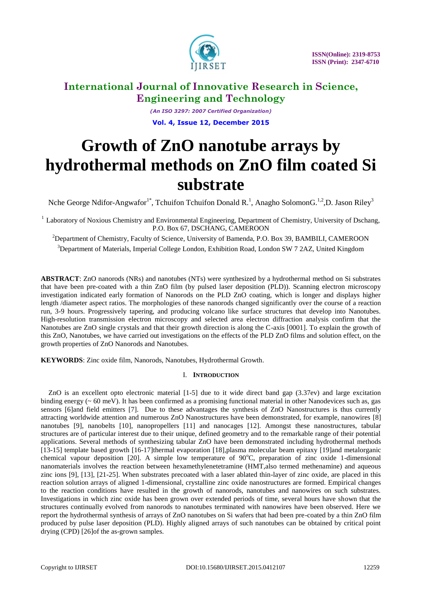

*(An ISO 3297: 2007 Certified Organization)* **Vol. 4, Issue 12, December 2015**

# **Growth of ZnO nanotube arrays by hydrothermal methods on ZnO film coated Si substrate**

Nche George Ndifor-Angwafor<sup>1\*</sup>, Tchuifon Tchuifon Donald R.<sup>1</sup>, Anagho SolomonG.<sup>1,2</sup>,D. Jason Riley<sup>3</sup>

 $1$  Laboratory of Noxious Chemistry and Environmental Engineering, Department of Chemistry, University of Dschang, P.O. Box 67, DSCHANG, CAMEROON

<sup>2</sup>Department of Chemistry, Faculty of Science, University of Bamenda, P.O. Box 39, BAMBILI, CAMEROON <sup>3</sup>Department of Materials, Imperial College London, Exhibition Road, London SW 7 2AZ, United Kingdom

**ABSTRACT**: ZnO nanorods (NRs) and nanotubes (NTs) were synthesized by a hydrothermal method on Si substrates that have been pre-coated with a thin ZnO film (by pulsed laser deposition (PLD)). Scanning electron microscopy investigation indicated early formation of Nanorods on the PLD ZnO coating, which is longer and displays higher length /diameter aspect ratios. The morphologies of these nanorods changed significantly over the course of a reaction run, 3-9 hours. Progressively tapering, and producing volcano like surface structures that develop into Nanotubes. High-resolution transmission electron microscopy and selected area electron diffraction analysis confirm that the Nanotubes are ZnO single crystals and that their growth direction is along the C-axis [0001]. To explain the growth of this ZnO, Nanotubes, we have carried out investigations on the effects of the PLD ZnO films and solution effect, on the growth properties of ZnO Nanorods and Nanotubes.

**KEYWORDS**: Zinc oxide film, Nanorods, Nanotubes, Hydrothermal Growth.

### I. **INTRODUCTION**

ZnO is an excellent opto electronic material [1-5] due to it wide direct band gap (3.37ev) and large excitation binding energy  $(0.60 \text{ meV})$ . It has been confirmed as a promising functional material in other Nanodevices such as, gas sensors [6]and field emitters [7]. Due to these advantages the synthesis of ZnO Nanostructures is thus currently attracting worldwide attention and numerous ZnO Nanostructures have been demonstrated, for example, nanowires [8] nanotubes [9], nanobelts [10], nanopropellers [11] and nanocages [12]. Amongst these nanostructures, tabular structures are of particular interest due to their unique, defined geometry and to the remarkable range of their potential applications. Several methods of synthesizing tabular ZnO have been demonstrated including hydrothermal methods [13-15] template based growth [16-17]thermal evaporation [18],plasma molecular beam epitaxy [19]and metalorganic chemical vapour deposition [20]. A simple low temperature of  $90^{\circ}$ C, preparation of zinc oxide 1-dimensional nanomaterials involves the reaction between hexamethylenetetramine (HMT,also termed methenamine) and aqueous zinc ions [9], [13], [21-25]. When substrates precoated with a laser ablated thin-layer of zinc oxide, are placed in this reaction solution arrays of aligned 1-dimensional, crystalline zinc oxide nanostructures are formed. Empirical changes to the reaction conditions have resulted in the growth of nanorods, nanotubes and nanowires on such substrates. Investigations in which zinc oxide has been grown over extended periods of time, several hours have shown that the structures continually evolved from nanorods to nanotubes terminated with nanowires have been observed. Here we report the hydrothermal synthesis of arrays of ZnO nanotubes on Si wafers that had been pre-coated by a thin ZnO film produced by pulse laser deposition (PLD). Highly aligned arrays of such nanotubes can be obtained by critical point drying (CPD) [26]of the as-grown samples.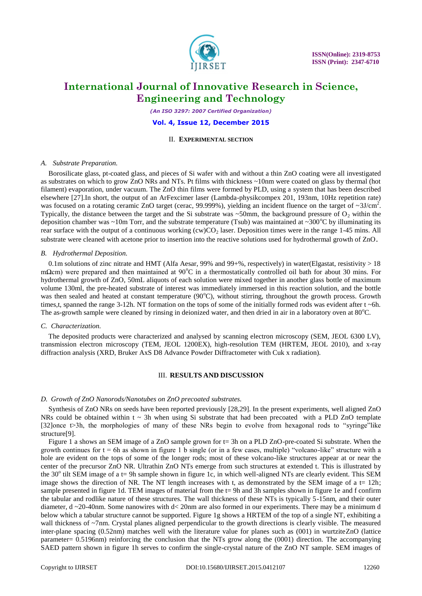

*(An ISO 3297: 2007 Certified Organization)*

#### **Vol. 4, Issue 12, December 2015**

#### II. **EXPERIMENTAL SECTION**

#### *A. Substrate Preparation.*

Borosilicate glass, pt-coated glass, and pieces of Si wafer with and without a thin ZnO coating were all investigated as substrates on which to grow ZnO NRs and NTs. Pt films with thickness ~10nm were coated on glass by thermal (hot filament) evaporation, under vacuum. The ZnO thin films were formed by PLD, using a system that has been described elsewhere [27].In short, the output of an ArFexcimer laser (Lambda-physikcompex 201, 193nm, 10Hz repetition rate) was focused on a rotating ceramic ZnO target (cerac, 99.999%), yielding an incident fluence on the target of  $\sim$ 3J/cm<sup>2</sup>. Typically, the distance between the target and the Si substrate was  $\sim$ 50mm, the background pressure of O<sub>2</sub> within the deposition chamber was  $\sim$ 10m Torr, and the substrate temperature (Tsub) was maintained at  $\sim$ 300°C by illuminating its rear surface with the output of a continuous working  $(cw)CO<sub>2</sub>$  laser. Deposition times were in the range 1-45 mins. All substrate were cleaned with acetone prior to insertion into the reactive solutions used for hydrothermal growth of ZnO.

#### *B. Hydrothermal Deposition.*

0.1m solutions of zinc nitrate and HMT (Alfa Aesar, 99% and 99+%, respectively) in water(Elgastat, resistivity  $> 18$ mΩcm) were prepared and then maintained at 90 $^{\circ}$ C in a thermostatically controlled oil bath for about 30 mins. For hydrothermal growth of ZnO, 50mL aliquots of each solution were mixed together in another glass bottle of maximum volume 130ml, the pre-heated substrate of interest was immediately immersed in this reaction solution, and the bottle was then sealed and heated at constant temperature  $(90^{\circ}C)$ , without stirring, throughout the growth process. Growth times,t, spanned the range 3-12h. NT formation on the tops of some of the initially formed rods was evident after  $t \sim 6h$ . The as-growth sample were cleaned by rinsing in deionized water, and then dried in air in a laboratory oven at  $80^{\circ}$ C.

#### *C. Characterization.*

The deposited products were characterized and analysed by scanning electron microscopy (SEM, JEOL 6300 LV), transmission electron microscopy (TEM, JEOL 1200EX), high-resolution TEM (HRTEM, JEOL 2010), and x-ray diffraction analysis (XRD, Bruker AxS D8 Advance Powder Diffractometer with Cuk x radiation).

#### III. **RESULTS AND DISCUSSION**

#### *D. Growth of ZnO Nanorods/Nanotubes on ZnO precoated substrates.*

Synthesis of ZnO NRs on seeds have been reported previously [28,29]. In the present experiments, well aligned ZnO NRs could be obtained within  $t \sim 3h$  when using Si substrate that had been precoated with a PLD ZnO template [32]once t>3h, the morphologies of many of these NRs begin to evolve from hexagonal rods to "syringe"like structure<sup>[9]</sup>.

Figure 1 a shows an SEM image of a ZnO sample grown for t= 3h on a PLD ZnO-pre-coated Si substrate. When the growth continues for  $t = 6h$  as shown in figure 1 b single (or in a few cases, multiple) "volcano-like" structure with a hole are evident on the tops of some of the longer rods; most of these volcano-like structures appear at or near the center of the precursor ZnO NR. Ultrathin ZnO NTs emerge from such structures at extended t. This is illustrated by the 30 $\degree$  tilt SEM image of a t= 9h sample shown in figure 1c, in which well-aligned NTs are clearly evident. This SEM image shows the direction of NR. The NT length increases with t, as demonstrated by the SEM image of a  $t= 12h$ ; sample presented in figure 1d. TEM images of material from the t= 9h and 3h samples shown in figure 1e and f confirm the tabular and rodlike nature of these structures. The wall thickness of these NTs is typically 5-15nm, and their outer diameter, d ~20-40nm. Some nanowires with d< 20nm are also formed in our experiments. There may be a minimum d below which a tabular structure cannot be supported. Figure 1g shows a HRTEM of the top of a single NT, exhibiting a wall thickness of ~7nm. Crystal planes aligned perpendicular to the growth directions is clearly visible. The measured inter-plane spacing (0.52nm) matches well with the literature value for planes such as (001) in wurtziteZnO (lattice parameter= 0.5196nm) reinforcing the conclusion that the NTs grow along the (0001) direction. The accompanying SAED pattern shown in figure 1h serves to confirm the single-crystal nature of the ZnO NT sample. SEM images of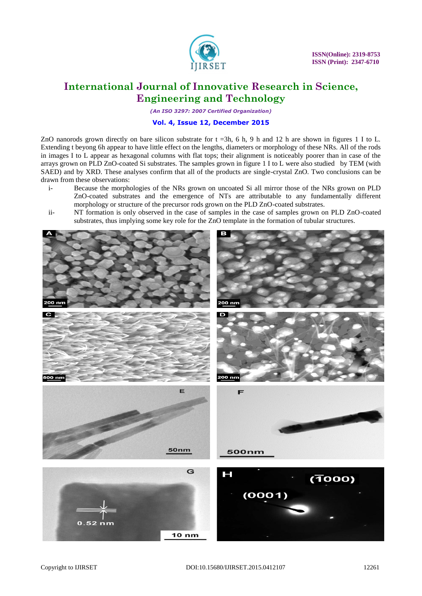

*(An ISO 3297: 2007 Certified Organization)*

### **Vol. 4, Issue 12, December 2015**

ZnO nanorods grown directly on bare silicon substrate for  $t = 3h$ , 6 h, 9 h and 12 h are shown in figures 1 I to L. Extending t beyong 6h appear to have little effect on the lengths, diameters or morphology of these NRs. All of the rods in images I to L appear as hexagonal columns with flat tops; their alignment is noticeably poorer than in case of the arrays grown on PLD ZnO-coated Si substrates. The samples grown in figure 1 I to L were also studied by TEM (with SAED) and by XRD. These analyses confirm that all of the products are single-crystal ZnO. Two conclusions can be drawn from these observations:

- i- Because the morphologies of the NRs grown on uncoated Si all mirror those of the NRs grown on PLD ZnO-coated substrates and the emergence of NTs are attributable to any fundamentally different morphology or structure of the precursor rods grown on the PLD ZnO-coated substrates.
- ii- NT formation is only observed in the case of samples in the case of samples grown on PLD ZnO-coated substrates, thus implying some key role for the ZnO template in the formation of tubular structures.

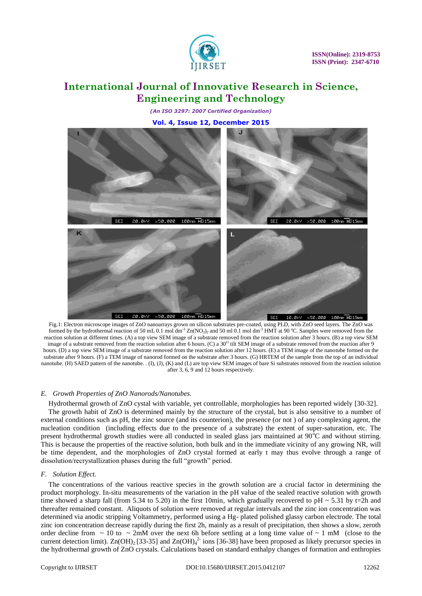

*(An ISO 3297: 2007 Certified Organization)*

**Vol. 4, Issue 12, December 2015**



Fig.1: Electron microscope images of ZnO nanoarrays grown on silicon substrates pre-coated, using PLD, with ZnO seed layers. The ZnO was formed by the hydrothermal reaction of 50 mL 0.1 mol dm<sup>-3</sup> Zn(NO<sub>3</sub>)<sub>2</sub> and 50 ml 0.1 mol dm<sup>-3</sup> HMT at 90 °C. Samples were removed from the reaction solution at different times. (A) a top view SEM image of a substrate removed from the reaction solution after 3 hours. (B) a top view SEM image of a substrate removed from the reaction solution after 6 hours. (C) a 30<sup>o</sup> tilt SEM image of a substrate removed from the reaction after 9 hours. (D) a top view SEM image of a substrate removed from the reaction solution after 12 hours. (E) a TEM image of the nanotube formed on the substrate after 9 hours. (F) a TEM image of nanorod formed on the substrate after 3 hours. (G) HRTEM of the sample from the top of an individual nanotube. (H) SAED pattern of the nanotube. . (I), (J), (K) and (L) are top view SEM images of bare Si substrates removed from the reaction solution after 3, 6, 9 and 12 hours respectively.

#### *E. Growth Properties of ZnO Nanorods/Nanotubes.*

Hydrothermal growth of ZnO cystal with variable, yet controllable, morphologies has been reported widely [30-32].

The growth habit of ZnO is determined mainly by the structure of the crystal, but is also sensitive to a number of external conditions such as pH, the zinc source (and its counterion), the presence (or not ) of any complexing agent, the nucleation condition (including effects due to the presence of a substrate) the extent of super-saturation, etc. The present hydrothermal growth studies were all conducted in sealed glass jars maintained at  $90^{\circ}$ C and without stirring. This is because the properties of the reactive solution, both bulk and in the immediate vicinity of any growing NR, will be time dependent, and the morphologies of ZnO crystal formed at early t may thus evolve through a range of dissolution/recrystallization phases during the full "growth" period.

#### *F. Solution Effect.*

The concentrations of the various reactive species in the growth solution are a crucial factor in determining the product morphology. In-situ measurements of the variation in the pH value of the sealed reactive solution with growth time showed a sharp fall (from 5.34 to 5.20) in the first 10min, which gradually recovered to pH  $\sim$  5.31 by t=2h and thereafter remained constant. Aliquots of solution were removed at regular intervals and the zinc ion concentration was determined via anodic stripping Voltammetry, performed using a Hg- plated polished glassy carbon electrode. The total zinc ion concentration decrease rapidly during the first 2h, mainly as a result of precipitation, then shows a slow, zeroth order decline from  $\sim 10$  to  $\sim 2$ mM over the next 6h before settling at a long time value of  $\sim 1$  mM (close to the current detection limit).  $Zn(OH)_2$  [33-35] and  $Zn(OH)_4^2$  ions [36-38] have been proposed as likely precursor species in the hydrothermal growth of ZnO crystals. Calculations based on standard enthalpy changes of formation and enthropies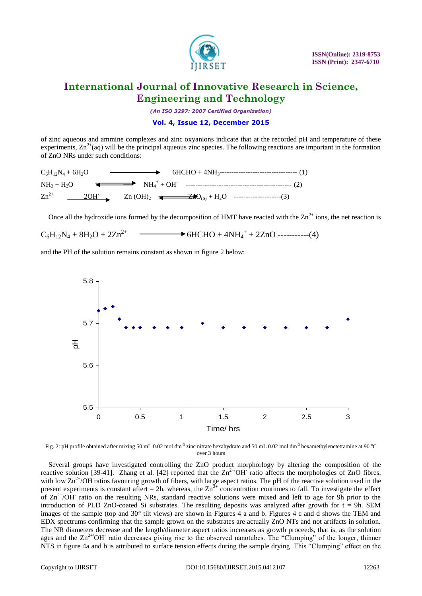

*(An ISO 3297: 2007 Certified Organization)*

### **Vol. 4, Issue 12, December 2015**

of zinc aqueous and ammine complexes and zinc oxyanions indicate that at the recorded pH and temperature of these experiments,  $\text{Zn}^{2+}$ (aq) will be the principal aqueous zinc species. The following reactions are important in the formation of ZnO NRs under such conditions:



Once all the hydroxide ions formed by the decomposition of HMT have reacted with the  $\text{Zn}^{2+}$  ions, the net reaction is

$$
C_6H_{12}N_4 + 8H_2O + 2Zn^{2+} \longrightarrow 6HCHO + 4NH_4^+ + 2ZnO
$$
-----(4)

and the PH of the solution remains constant as shown in figure 2 below:



Fig. 2: pH profile obtained after mixing 50 mL 0.02 mol dm<sup>-3</sup> zinc nitrate hexahydrate and 50 mL 0.02 mol dm<sup>-3</sup> hexamethylenetetramine at 90 °C over 3 hours

Several groups have investigated controlling the ZnO product morphorlogy by altering the composition of the reactive solution [39-41]. Zhang et al. [42] reported that the  $\text{Zn}^{2+} \text{OH}^-$  ratio affects the morphologies of ZnO fibres, with low  $\text{Zn}^{2+}/\text{OH}$  ratios favouring growth of fibers, with large aspect ratios. The pH of the reactive solution used in the present experiments is constant aftert = 2h, whereas, the  $\text{Zn}^{\bar{2}+}$  concentration continues to fall. To investigate the effect of  $\text{Zn}^{2+}/\text{OH}$  ratio on the resulting NRs, standard reactive solutions were mixed and left to age for 9h prior to the introduction of PLD ZnO-coated Si substrates. The resulting deposits was analyzed after growth for  $t = 9h$ . SEM images of the sample (top and 30° tilt views) are shown in Figures 4 a and b. Figures 4 c and d shows the TEM and EDX spectrums confirming that the sample grown on the substrates are actually ZnO NTs and not artifacts in solution. The NR diameters decrease and the length/diameter aspect ratios increases as growth proceeds, that is, as the solution ages and the Zn<sup>2+/</sup>OH<sup>-</sup> ratio decreases giving rise to the observed nanotubes. The "Clumping" of the longer, thinner NTS in figure 4a and b is attributed to surface tension effects during the sample drying. This "Clumping" effect on the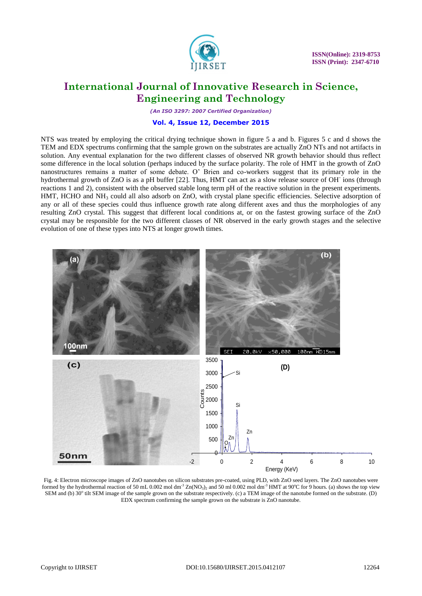

*(An ISO 3297: 2007 Certified Organization)*

### **Vol. 4, Issue 12, December 2015**

NTS was treated by employing the critical drying technique shown in figure 5 a and b. Figures 5 c and d shows the TEM and EDX spectrums confirming that the sample grown on the substrates are actually ZnO NTs and not artifacts in solution. Any eventual explanation for the two different classes of observed NR growth behavior should thus reflect some difference in the local solution (perhaps induced by the surface polarity. The role of HMT in the growth of ZnO nanostructures remains a matter of some debate. O' Brien and co-workers suggest that its primary role in the hydrothermal growth of ZnO is as a pH buffer [22]. Thus, HMT can act as a slow release source of OH-ions (through reactions 1 and 2), consistent with the observed stable long term pH of the reactive solution in the present experiments. HMT, HCHO and NH<sub>3</sub> could all also adsorb on ZnO, with crystal plane specific efficiencies. Selective adsorption of any or all of these species could thus influence growth rate along different axes and thus the morphologies of any resulting ZnO crystal. This suggest that different local conditions at, or on the fastest growing surface of the ZnO crystal may be responsible for the two different classes of NR observed in the early growth stages and the selective evolution of one of these types into NTS at longer growth times.



Fig. 4: Electron microscope images of ZnO nanotubes on silicon substrates pre-coated, using PLD, with ZnO seed layers. The ZnO nanotubes were formed by the hydrothermal reaction of 50 mL 0.002 mol dm<sup>-3</sup> Zn(NO<sub>3</sub>)<sub>2</sub> and 50 ml 0.002 mol dm<sup>-3</sup> HMT at 90°C for 9 hours. (a) shows the top view SEM and (b) 30° tilt SEM image of the sample grown on the substrate respectively. (c) a TEM image of the nanotube formed on the substrate. (D) EDX spectrum confirming the sample grown on the substrate is ZnO nanotube.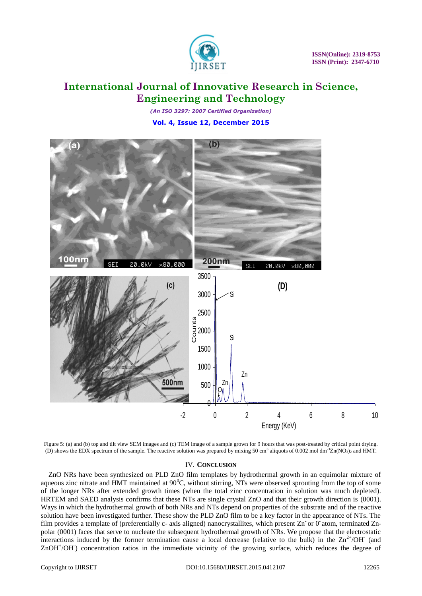

*(An ISO 3297: 2007 Certified Organization)* **Vol. 4, Issue 12, December 2015**



Figure 5: (a) and (b) top and tilt view SEM images and (c) TEM image of a sample grown for 9 hours that was post-treated by critical point drying. (D) shows the EDX spectrum of the sample. The reactive solution was prepared by mixing 50 cm<sup>3</sup> aliquots of 0.002 mol dm<sup>-3</sup>Zn(NO<sub>3</sub>)<sub>2</sub> and HMT.

### IV. **CONCLUSION**

ZnO NRs have been synthesized on PLD ZnO film templates by hydrothermal growth in an equimolar mixture of aqueous zinc nitrate and HMT maintained at  $90^{\circ}$ C, without stirring, NTs were observed sprouting from the top of some of the longer NRs after extended growth times (when the total zinc concentration in solution was much depleted). HRTEM and SAED analysis confirms that these NTs are single crystal ZnO and that their growth direction is (0001). Ways in which the hydrothermal growth of both NRs and NTs depend on properties of the substrate and of the reactive solution have been investigated further. These show the PLD ZnO film to be a key factor in the appearance of NTs. The film provides a template of (preferentially c- axis aligned) nanocrystallites, which present Zn or 0 atom, terminated Znpolar (0001) faces that serve to nucleate the subsequent hydrothermal growth of NRs. We propose that the electrostatic interactions induced by the former termination cause a local decrease (relative to the bulk) in the  $\text{Zn}^{2+}/\text{OH}^-$  (and ZnOH<sup>+</sup>/OH concentration ratios in the immediate vicinity of the growing surface, which reduces the degree of